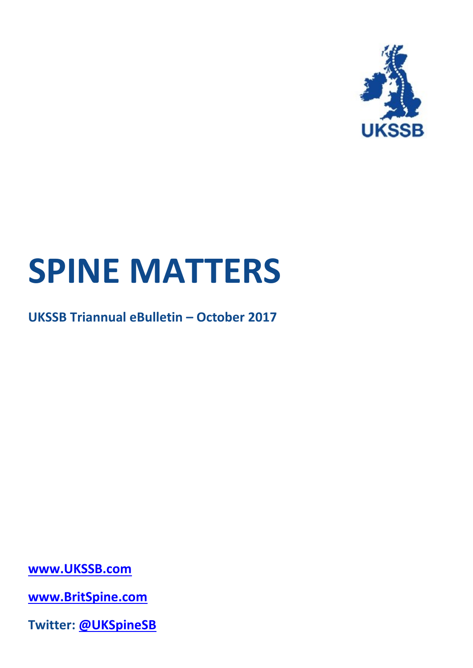

# **SPINE MATTERS**

**UKSSB Triannual eBulletin – October 2017**

**[www.UKSSB.com](http://www.ukssb.com/)**

**[www.BritSpine.com](http://www.britspine.com/)**

**Twitter: [@UKSpineSB](https://twitter.com/UKSpineSB)**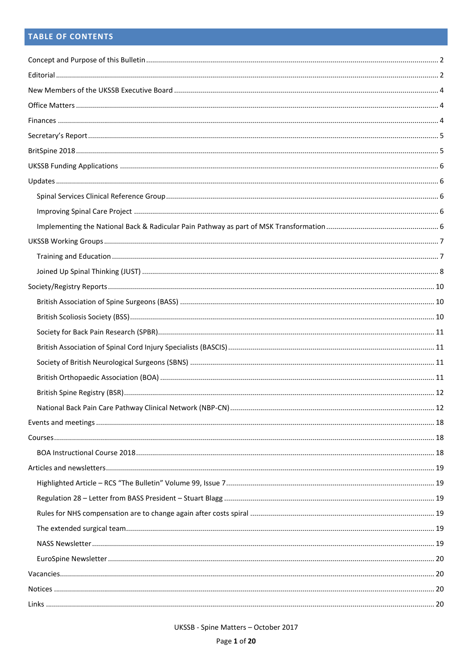# **TABLE OF CONTENTS**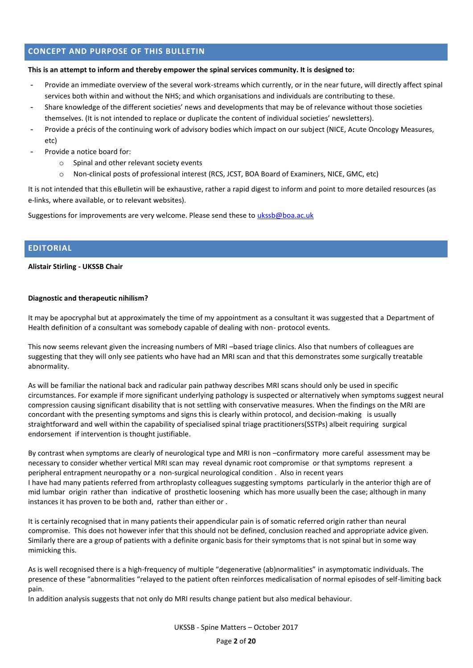# <span id="page-2-0"></span>**CONCEPT AND PURPOSE OF THIS BULLETIN**

#### **This is an attempt to inform and thereby empower the spinal services community. It is designed to:**

- Provide an immediate overview of the several work-streams which currently, or in the near future, will directly affect spinal services both within and without the NHS; and which organisations and individuals are contributing to these.
- Share knowledge of the different societies' news and developments that may be of relevance without those societies themselves. (It is not intended to replace or duplicate the content of individual societies' newsletters).
- Provide a précis of the continuing work of advisory bodies which impact on our subject (NICE, Acute Oncology Measures, etc)
- Provide a notice board for:
	- o Spinal and other relevant society events
	- o Non-clinical posts of professional interest (RCS, JCST, BOA Board of Examiners, NICE, GMC, etc)

It is not intended that this eBulletin will be exhaustive, rather a rapid digest to inform and point to more detailed resources (as e-links, where available, or to relevant websites).

Suggestions for improvements are very welcome. Please send these to [ukssb@boa.ac.uk](mailto:ukssb@boa.ac.uk)

## <span id="page-2-1"></span>**EDITORIAL**

#### **Alistair Stirling - UKSSB Chair**

#### **Diagnostic and therapeutic nihilism?**

It may be apocryphal but at approximately the time of my appointment as a consultant it was suggested that a Department of Health definition of a consultant was somebody capable of dealing with non- protocol events.

This now seems relevant given the increasing numbers of MRI –based triage clinics. Also that numbers of colleagues are suggesting that they will only see patients who have had an MRI scan and that this demonstrates some surgically treatable abnormality.

As will be familiar the national back and radicular pain pathway describes MRI scans should only be used in specific circumstances. For example if more significant underlying pathology is suspected or alternatively when symptoms suggest neural compression causing significant disability that is not settling with conservative measures. When the findings on the MRI are concordant with the presenting symptoms and signs this is clearly within protocol, and decision-making is usually straightforward and well within the capability of specialised spinal triage practitioners(SSTPs) albeit requiring surgical endorsement if intervention is thought justifiable.

By contrast when symptoms are clearly of neurological type and MRI is non –confirmatory more careful assessment may be necessary to consider whether vertical MRI scan may reveal dynamic root compromise or that symptoms represent a peripheral entrapment neuropathy or a non-surgical neurological condition . Also in recent years I have had many patients referred from arthroplasty colleagues suggesting symptoms particularly in the anterior thigh are of mid lumbar origin rather than indicative of prosthetic loosening which has more usually been the case; although in many instances it has proven to be both and, rather than either or .

It is certainly recognised that in many patients their appendicular pain is of somatic referred origin rather than neural compromise. This does not however infer that this should not be defined, conclusion reached and appropriate advice given. Similarly there are a group of patients with a definite organic basis for their symptoms that is not spinal but in some way mimicking this.

As is well recognised there is a high-frequency of multiple "degenerative (ab)normalities" in asymptomatic individuals. The presence of these "abnormalities "relayed to the patient often reinforces medicalisation of normal episodes of self-limiting back pain.

In addition analysis suggests that not only do MRI results change patient but also medical behaviour.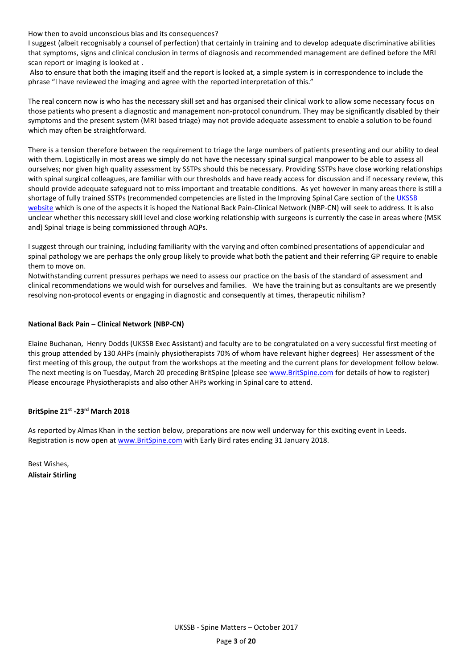How then to avoid unconscious bias and its consequences?

I suggest (albeit recognisably a counsel of perfection) that certainly in training and to develop adequate discriminative abilities that symptoms, signs and clinical conclusion in terms of diagnosis and recommended management are defined before the MRI scan report or imaging is looked at .

Also to ensure that both the imaging itself and the report is looked at, a simple system is in correspondence to include the phrase "I have reviewed the imaging and agree with the reported interpretation of this."

The real concern now is who has the necessary skill set and has organised their clinical work to allow some necessary focus on those patients who present a diagnostic and management non-protocol conundrum. They may be significantly disabled by their symptoms and the present system (MRI based triage) may not provide adequate assessment to enable a solution to be found which may often be straightforward.

There is a tension therefore between the requirement to triage the large numbers of patients presenting and our ability to deal with them. Logistically in most areas we simply do not have the necessary spinal surgical manpower to be able to assess all ourselves; nor given high quality assessment by SSTPs should this be necessary. Providing SSTPs have close working relationships with spinal surgical colleagues, are familiar with our thresholds and have ready access for discussion and if necessary review, this should provide adequate safeguard not to miss important and treatable conditions. As yet however in many areas there is still a shortage of fully trained SSTPs (recommended competencies are listed in the Improving Spinal Care section of the UKSSB [website](http://ukssb.com/pages/Improving-Spinal-Care-Project/National-Backpain-Pathway.html) which is one of the aspects it is hoped the National Back Pain-Clinical Network (NBP-CN) will seek to address. It is also unclear whether this necessary skill level and close working relationship with surgeons is currently the case in areas where (MSK and) Spinal triage is being commissioned through AQPs.

I suggest through our training, including familiarity with the varying and often combined presentations of appendicular and spinal pathology we are perhaps the only group likely to provide what both the patient and their referring GP require to enable them to move on.

Notwithstanding current pressures perhaps we need to assess our practice on the basis of the standard of assessment and clinical recommendations we would wish for ourselves and families. We have the training but as consultants are we presently resolving non-protocol events or engaging in diagnostic and consequently at times, therapeutic nihilism?

## **National Back Pain – Clinical Network (NBP-CN)**

Elaine Buchanan, Henry Dodds (UKSSB Exec Assistant) and faculty are to be congratulated on a very successful first meeting of this group attended by 130 AHPs (mainly physiotherapists 70% of whom have relevant higher degrees) Her assessment of the first meeting of this group, the output from the workshops at the meeting and the current plans for development follow below. The next meeting is on Tuesday, March 20 preceding BritSpine (please see [www.BritSpine.com](http://www.britspine.com/) for details of how to register) Please encourage Physiotherapists and also other AHPs working in Spinal care to attend.

# **BritSpine 21st -23rd March 2018**

As reported by Almas Khan in the section below, preparations are now well underway for this exciting event in Leeds. Registration is now open a[t www.BritSpine.com](http://www.britspine.com/) with Early Bird rates ending 31 January 2018.

Best Wishes, **Alistair Stirling**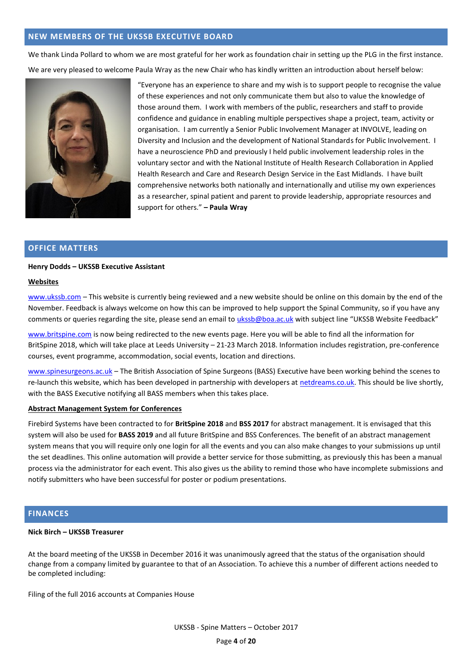## <span id="page-4-0"></span>**NEW MEMBERS OF THE UKSSB EXECUTIVE BOARD**

We thank Linda Pollard to whom we are most grateful for her work as foundation chair in setting up the PLG in the first instance. We are very pleased to welcome Paula Wray as the new Chair who has kindly written an introduction about herself below:



"Everyone has an experience to share and my wish is to support people to recognise the value of these experiences and not only communicate them but also to value the knowledge of those around them. I work with members of the public, researchers and staff to provide confidence and guidance in enabling multiple perspectives shape a project, team, activity or organisation. I am currently a Senior Public Involvement Manager at INVOLVE, leading on Diversity and Inclusion and the development of National Standards for Public Involvement. I have a neuroscience PhD and previously I held public involvement leadership roles in the voluntary sector and with the National Institute of Health Research Collaboration in Applied Health Research and Care and Research Design Service in the East Midlands. I have built comprehensive networks both nationally and internationally and utilise my own experiences as a researcher, spinal patient and parent to provide leadership, appropriate resources and support for others." **– Paula Wray**

## <span id="page-4-1"></span>**OFFICE MATTERS**

#### **Henry Dodds – UKSSB Executive Assistant**

#### **Websites**

[www.ukssb.com](http://www.ukssb.com/) – This website is currently being reviewed and a new website should be online on this domain by the end of the November. Feedback is always welcome on how this can be improved to help support the Spinal Community, so if you have any comments or queries regarding the site, please send an email to [ukssb@boa.ac.uk](mailto:ukssb@boa.ac.uk?subject=UKSSB%20Website%20Feedback) with subject line "UKSSB Website Feedback"

[www.britspine.com](http://www.britspine.com/) is now being redirected to the new events page. Here you will be able to find all the information for BritSpine 2018, which will take place at Leeds University – 21-23 March 2018. Information includes registration, pre-conference courses, event programme, accommodation, social events, location and directions.

[www.spinesurgeons.ac.uk](http://www.spinesurgeons.ac.uk/) – The British Association of Spine Surgeons (BASS) Executive have been working behind the scenes to re-launch this website, which has been developed in partnership with developers a[t netdreams.co.uk.](http://www.netdreams.co.uk/) This should be live shortly, with the BASS Executive notifying all BASS members when this takes place.

#### **Abstract Management System for Conferences**

Firebird Systems have been contracted to for **BritSpine 2018** and **BSS 2017** for abstract management. It is envisaged that this system will also be used for **BASS 2019** and all future BritSpine and BSS Conferences. The benefit of an abstract management system means that you will require only one login for all the events and you can also make changes to your submissions up until the set deadlines. This online automation will provide a better service for those submitting, as previously this has been a manual process via the administrator for each event. This also gives us the ability to remind those who have incomplete submissions and notify submitters who have been successful for poster or podium presentations.

#### <span id="page-4-2"></span>**FINANCES**

#### **Nick Birch – UKSSB Treasurer**

At the board meeting of the UKSSB in December 2016 it was unanimously agreed that the status of the organisation should change from a company limited by guarantee to that of an Association. To achieve this a number of different actions needed to be completed including:

Filing of the full 2016 accounts at Companies House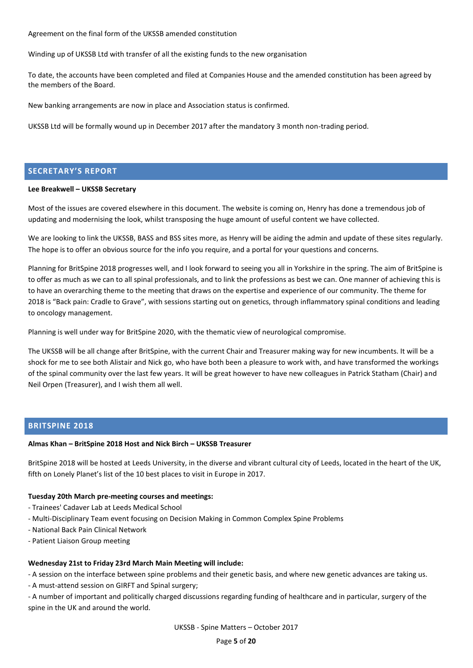Agreement on the final form of the UKSSB amended constitution

Winding up of UKSSB Ltd with transfer of all the existing funds to the new organisation

To date, the accounts have been completed and filed at Companies House and the amended constitution has been agreed by the members of the Board.

New banking arrangements are now in place and Association status is confirmed.

UKSSB Ltd will be formally wound up in December 2017 after the mandatory 3 month non-trading period.

# <span id="page-5-0"></span>**SECRETARY'S REPORT**

#### **Lee Breakwell – UKSSB Secretary**

Most of the issues are covered elsewhere in this document. The website is coming on, Henry has done a tremendous job of updating and modernising the look, whilst transposing the huge amount of useful content we have collected.

We are looking to link the UKSSB, BASS and BSS sites more, as Henry will be aiding the admin and update of these sites regularly. The hope is to offer an obvious source for the info you require, and a portal for your questions and concerns.

Planning for BritSpine 2018 progresses well, and I look forward to seeing you all in Yorkshire in the spring. The aim of BritSpine is to offer as much as we can to all spinal professionals, and to link the professions as best we can. One manner of achieving this is to have an overarching theme to the meeting that draws on the expertise and experience of our community. The theme for 2018 is "Back pain: Cradle to Grave", with sessions starting out on genetics, through inflammatory spinal conditions and leading to oncology management.

Planning is well under way for BritSpine 2020, with the thematic view of neurological compromise.

The UKSSB will be all change after BritSpine, with the current Chair and Treasurer making way for new incumbents. It will be a shock for me to see both Alistair and Nick go, who have both been a pleasure to work with, and have transformed the workings of the spinal community over the last few years. It will be great however to have new colleagues in Patrick Statham (Chair) and Neil Orpen (Treasurer), and I wish them all well.

#### <span id="page-5-1"></span>**BRITSPINE 2018**

#### **Almas Khan – BritSpine 2018 Host and Nick Birch – UKSSB Treasurer**

BritSpine 2018 will be hosted at Leeds University, in the diverse and vibrant cultural city of Leeds, located in the heart of the UK, fifth on Lonely Planet's list of the 10 best places to visit in Europe in 2017.

#### **Tuesday 20th March pre-meeting courses and meetings:**

- Trainees' Cadaver Lab at Leeds Medical School
- Multi-Disciplinary Team event focusing on Decision Making in Common Complex Spine Problems
- National Back Pain Clinical Network
- Patient Liaison Group meeting

#### **Wednesday 21st to Friday 23rd March Main Meeting will include:**

- A session on the interface between spine problems and their genetic basis, and where new genetic advances are taking us.

- A must-attend session on GIRFT and Spinal surgery;

- A number of important and politically charged discussions regarding funding of healthcare and in particular, surgery of the spine in the UK and around the world.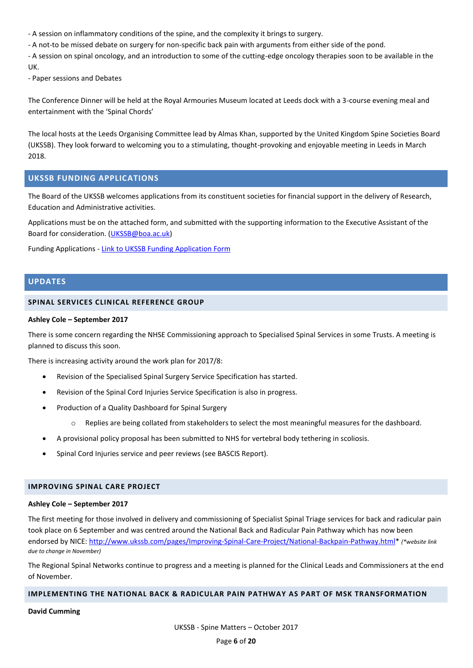- A session on inflammatory conditions of the spine, and the complexity it brings to surgery.

- A not-to be missed debate on surgery for non-specific back pain with arguments from either side of the pond.

- A session on spinal oncology, and an introduction to some of the cutting-edge oncology therapies soon to be available in the UK.

- Paper sessions and Debates

The Conference Dinner will be held at the Royal Armouries Museum located at Leeds dock with a 3-course evening meal and entertainment with the 'Spinal Chords'

The local hosts at the Leeds Organising Committee lead by Almas Khan, supported by the United Kingdom Spine Societies Board (UKSSB). They look forward to welcoming you to a stimulating, thought-provoking and enjoyable meeting in Leeds in March 2018.

# <span id="page-6-0"></span>**UKSSB FUNDING APPLICATIONS**

The Board of the UKSSB welcomes applications from its constituent societies for financial support in the delivery of Research, Education and Administrative activities.

Applications must be on the attached form, and submitted with the supporting information to the Executive Assistant of the Board for consideration. [\(UKSSB@boa.ac.uk\)](mailto:UKSSB@boa.ac.uk)

Funding Applications - [Link to UKSSB Funding Application Form](http://ukssb.com/assets/Documents/2017/March/UKSSB-fund-application.docx)

# <span id="page-6-1"></span>**UPDATES**

## <span id="page-6-2"></span>**SPINAL SERVICES CLINICAL REFERENCE GROUP**

#### **Ashley Cole – September 2017**

There is some concern regarding the NHSE Commissioning approach to Specialised Spinal Services in some Trusts. A meeting is planned to discuss this soon.

There is increasing activity around the work plan for 2017/8:

- Revision of the Specialised Spinal Surgery Service Specification has started.
- Revision of the Spinal Cord Injuries Service Specification is also in progress.
- Production of a Quality Dashboard for Spinal Surgery
	- o Replies are being collated from stakeholders to select the most meaningful measures for the dashboard.
- A provisional policy proposal has been submitted to NHS for vertebral body tethering in scoliosis.
- Spinal Cord Injuries service and peer reviews (see BASCIS Report).

#### <span id="page-6-3"></span>**IMPROVING SPINAL CARE PROJECT**

#### **Ashley Cole – September 2017**

The first meeting for those involved in delivery and commissioning of Specialist Spinal Triage services for back and radicular pain took place on 6 September and was centred around the National Back and Radicular Pain Pathway which has now been endorsed by NICE: [http://www.ukssb.com/pages/Improving-Spinal-Care-Project/National-Backpain-Pathway.html\\*](http://www.ukssb.com/pages/Improving-Spinal-Care-Project/National-Backpain-Pathway.html) *(\*website link due to change in November)*

The Regional Spinal Networks continue to progress and a meeting is planned for the Clinical Leads and Commissioners at the end of November.

#### <span id="page-6-4"></span>**IMPLEMENTING THE NATIONAL BACK & RADICULAR PAIN PATHWAY AS PART OF MSK TRANSFORMATION**

**David Cumming**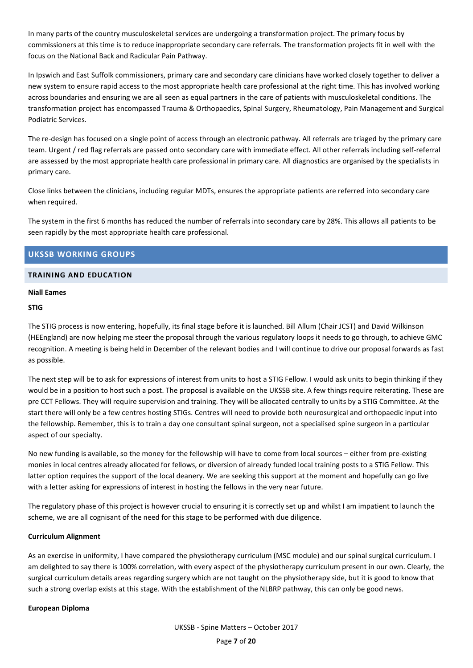In many parts of the country musculoskeletal services are undergoing a transformation project. The primary focus by commissioners at this time is to reduce inappropriate secondary care referrals. The transformation projects fit in well with the focus on the National Back and Radicular Pain Pathway.

In Ipswich and East Suffolk commissioners, primary care and secondary care clinicians have worked closely together to deliver a new system to ensure rapid access to the most appropriate health care professional at the right time. This has involved working across boundaries and ensuring we are all seen as equal partners in the care of patients with musculoskeletal conditions. The transformation project has encompassed Trauma & Orthopaedics, Spinal Surgery, Rheumatology, Pain Management and Surgical Podiatric Services.

The re-design has focused on a single point of access through an electronic pathway. All referrals are triaged by the primary care team. Urgent / red flag referrals are passed onto secondary care with immediate effect. All other referrals including self-referral are assessed by the most appropriate health care professional in primary care. All diagnostics are organised by the specialists in primary care.

Close links between the clinicians, including regular MDTs, ensures the appropriate patients are referred into secondary care when required.

The system in the first 6 months has reduced the number of referrals into secondary care by 28%. This allows all patients to be seen rapidly by the most appropriate health care professional.

# <span id="page-7-0"></span>**UKSSB WORKING GROUPS**

## <span id="page-7-1"></span>**TRAINING AND EDUCATION**

## **Niall Eames**

## **STIG**

The STIG process is now entering, hopefully, its final stage before it is launched. Bill Allum (Chair JCST) and David Wilkinson (HEEngland) are now helping me steer the proposal through the various regulatory loops it needs to go through, to achieve GMC recognition. A meeting is being held in December of the relevant bodies and I will continue to drive our proposal forwards as fast as possible.

The next step will be to ask for expressions of interest from units to host a STIG Fellow. I would ask units to begin thinking if they would be in a position to host such a post. The proposal is available on the UKSSB site. A few things require reiterating. These are pre CCT Fellows. They will require supervision and training. They will be allocated centrally to units by a STIG Committee. At the start there will only be a few centres hosting STIGs. Centres will need to provide both neurosurgical and orthopaedic input into the fellowship. Remember, this is to train a day one consultant spinal surgeon, not a specialised spine surgeon in a particular aspect of our specialty.

No new funding is available, so the money for the fellowship will have to come from local sources – either from pre-existing monies in local centres already allocated for fellows, or diversion of already funded local training posts to a STIG Fellow. This latter option requires the support of the local deanery. We are seeking this support at the moment and hopefully can go live with a letter asking for expressions of interest in hosting the fellows in the very near future.

The regulatory phase of this project is however crucial to ensuring it is correctly set up and whilst I am impatient to launch the scheme, we are all cognisant of the need for this stage to be performed with due diligence.

#### **Curriculum Alignment**

As an exercise in uniformity, I have compared the physiotherapy curriculum (MSC module) and our spinal surgical curriculum. I am delighted to say there is 100% correlation, with every aspect of the physiotherapy curriculum present in our own. Clearly, the surgical curriculum details areas regarding surgery which are not taught on the physiotherapy side, but it is good to know that such a strong overlap exists at this stage. With the establishment of the NLBRP pathway, this can only be good news.

#### **European Diploma**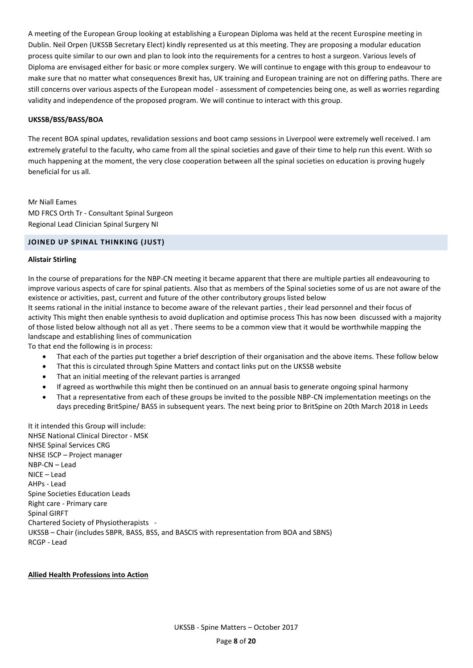A meeting of the European Group looking at establishing a European Diploma was held at the recent Eurospine meeting in Dublin. Neil Orpen (UKSSB Secretary Elect) kindly represented us at this meeting. They are proposing a modular education process quite similar to our own and plan to look into the requirements for a centres to host a surgeon. Various levels of Diploma are envisaged either for basic or more complex surgery. We will continue to engage with this group to endeavour to make sure that no matter what consequences Brexit has, UK training and European training are not on differing paths. There are still concerns over various aspects of the European model - assessment of competencies being one, as well as worries regarding validity and independence of the proposed program. We will continue to interact with this group.

#### **UKSSB/BSS/BASS/BOA**

The recent BOA spinal updates, revalidation sessions and boot camp sessions in Liverpool were extremely well received. I am extremely grateful to the faculty, who came from all the spinal societies and gave of their time to help run this event. With so much happening at the moment, the very close cooperation between all the spinal societies on education is proving hugely beneficial for us all.

Mr Niall Eames MD FRCS Orth Tr - Consultant Spinal Surgeon Regional Lead Clinician Spinal Surgery NI

#### <span id="page-8-0"></span>**JOINED UP SPINAL THINKING (JUST)**

#### **Alistair Stirling**

In the course of preparations for the NBP-CN meeting it became apparent that there are multiple parties all endeavouring to improve various aspects of care for spinal patients. Also that as members of the Spinal societies some of us are not aware of the existence or activities, past, current and future of the other contributory groups listed below

It seems rational in the initial instance to become aware of the relevant parties , their lead personnel and their focus of activity This might then enable synthesis to avoid duplication and optimise process This has now been discussed with a majority of those listed below although not all as yet . There seems to be a common view that it would be worthwhile mapping the landscape and establishing lines of communication

To that end the following is in process:

- That each of the parties put together a brief description of their organisation and the above items. These follow below
- That this is circulated through Spine Matters and contact links put on the UKSSB website
- That an initial meeting of the relevant parties is arranged
- If agreed as worthwhile this might then be continued on an annual basis to generate ongoing spinal harmony
- That a representative from each of these groups be invited to the possible NBP-CN implementation meetings on the days preceding BritSpine/ BASS in subsequent years. The next being prior to BritSpine on 20th March 2018 in Leeds

It it intended this Group will include: NHSE National Clinical Director - MSK NHSE Spinal Services CRG NHSE ISCP – Project manager NBP-CN – Lead NICE – Lead AHPs - Lead Spine Societies Education Leads Right care - Primary care Spinal GIRFT Chartered Society of Physiotherapists - UKSSB – Chair (includes SBPR, BASS, BSS, and BASCIS with representation from BOA and SBNS) RCGP - Lead

#### **Allied Health Professions into Action**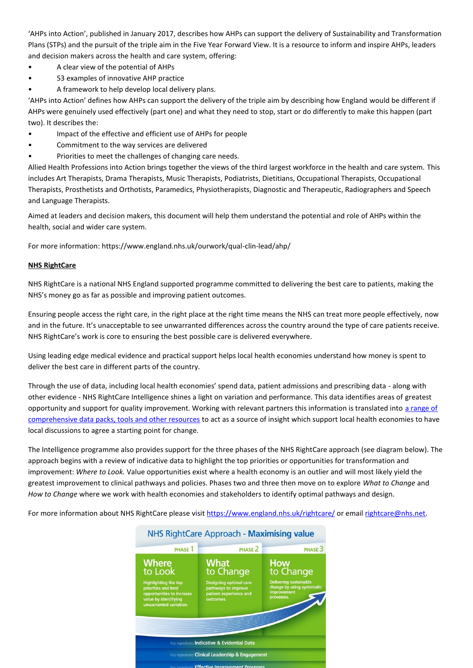'AHPs into Action', published in January 2017, describes how AHPs can support the delivery of Sustainability and Transformation Plans (STPs) and the pursuit of the triple aim in the Five Year Forward View. It is a resource to inform and inspire AHPs, leaders and decision makers across the health and care system, offering:

- A clear view of the potential of AHPs
- 53 examples of innovative AHP practice
- A framework to help develop local delivery plans.

'AHPs into Action' defines how AHPs can support the delivery of the triple aim by describing how England would be different if AHPs were genuinely used effectively (part one) and what they need to stop, start or do differently to make this happen (part two). It describes the:

- Impact of the effective and efficient use of AHPs for people
- Commitment to the way services are delivered
- Priorities to meet the challenges of changing care needs.

Allied Health Professions into Action brings together the views of the third largest workforce in the health and care system. This includes Art Therapists, Drama Therapists, Music Therapists, Podiatrists, Dietitians, Occupational Therapists, Occupational Therapists, Prosthetists and Orthotists, Paramedics, Physiotherapists, Diagnostic and Therapeutic, Radiographers and Speech and Language Therapists.

Aimed at leaders and decision makers, this document will help them understand the potential and role of AHPs within the health, social and wider care system.

For more information:<https://www.england.nhs.uk/ourwork/qual-clin-lead/ahp/>

## **NHS RightCare**

NHS RightCare is a national NHS England supported programme committed to delivering the best care to patients, making the NHS's money go as far as possible and improving patient outcomes.

Ensuring people access the right care, in the right place at the right time means the NHS can treat more people effectively, now and in the future. It's unacceptable to see unwarranted differences across the country around the type of care patients receive. NHS RightCare's work is core to ensuring the best possible care is delivered everywhere.

Using leading edge medical evidence and practical support helps local health economies understand how money is spent to deliver the best care in different parts of the country.

Through the use of data, including local health economies' spend data, patient admissions and prescribing data - along with other evidence - NHS RightCare Intelligence shines a light on variation and performance. This data identifies areas of greatest opportunity and support for quality improvement. Working with relevant partners this information is translated into a range of [comprehensive data packs, tools and other resources](https://www.england.nhs.uk/rightcare/products/) to act as a source of insight which support local health economies to have local discussions to agree a starting point for change.

The Intelligence programme also provides support for the three phases of the NHS RightCare approach (see diagram below). The approach begins with a review of indicative data to highlight the top priorities or opportunities for transformation and improvement: *Where to Look.* Value opportunities exist where a health economy is an outlier and will most likely yield the greatest improvement to clinical pathways and policies. Phases two and three then move on to explore *What to Change* and *How to Change* where we work with health economies and stakeholders to identify optimal pathways and design.

For more information about NHS RightCare please visit<https://www.england.nhs.uk/rightcare/> or email [rightcare@nhs.net.](mailto:rightcare@nhs.net)

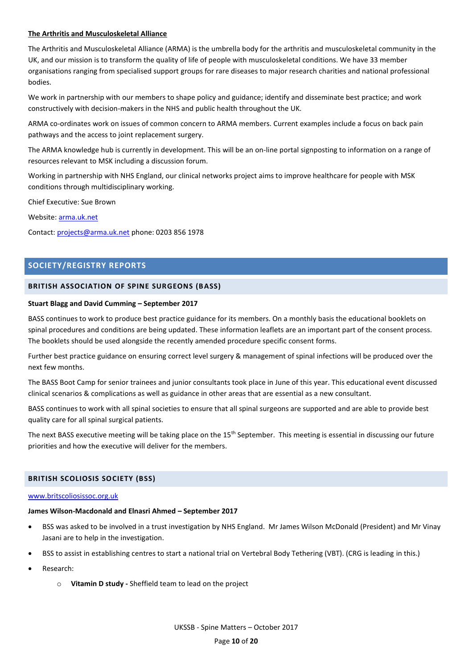## **The Arthritis and Musculoskeletal Alliance**

The Arthritis and Musculoskeletal Alliance (ARMA) is the umbrella body for the arthritis and musculoskeletal community in the UK, and our mission is to transform the quality of life of people with musculoskeletal conditions. We have 33 member organisations ranging from specialised support groups for rare diseases to major research charities and national professional bodies.

We work in partnership with our members to shape policy and guidance; identify and disseminate best practice; and work constructively with decision-makers in the NHS and public health throughout the UK.

ARMA co-ordinates work on issues of common concern to ARMA members. Current examples include a focus on back pain pathways and the access to joint replacement surgery.

The ARMA knowledge hub is currently in development. This will be an on-line portal signposting to information on a range of resources relevant to MSK including a discussion forum.

Working in partnership with NHS England, our clinical networks project aims to improve healthcare for people with MSK conditions through multidisciplinary working.

Chief Executive: Sue Brown

Website: [arma.uk.net](https://rcsengacuk-my.sharepoint.com/personal/hdodds_rcseng_ac_uk/Documents/UKSSB%20Executive%20Folder/arma.uk.net)

Contact: [projects@arma.uk.net](mailto:projects@arma.uk.net) phone: 0203 856 1978

# <span id="page-10-0"></span>**SOCIETY/REGISTRY REPORTS**

## <span id="page-10-1"></span>**BRITISH ASSOCIATION OF SPINE SURGEONS (BASS)**

#### **Stuart Blagg and David Cumming – September 2017**

BASS continues to work to produce best practice guidance for its members. On a monthly basis the educational booklets on spinal procedures and conditions are being updated. These information leaflets are an important part of the consent process. The booklets should be used alongside the recently amended procedure specific consent forms.

Further best practice guidance on ensuring correct level surgery & management of spinal infections will be produced over the next few months.

The BASS Boot Camp for senior trainees and junior consultants took place in June of this year. This educational event discussed clinical scenarios & complications as well as guidance in other areas that are essential as a new consultant.

BASS continues to work with all spinal societies to ensure that all spinal surgeons are supported and are able to provide best quality care for all spinal surgical patients.

The next BASS executive meeting will be taking place on the  $15<sup>th</sup>$  September. This meeting is essential in discussing our future priorities and how the executive will deliver for the members.

#### <span id="page-10-2"></span>**BRITISH SCOLIOSIS SOCIETY (BSS)**

#### [www.britscoliosissoc.org.uk](http://www.britscoliosissoc.org.uk/)

#### **James Wilson-Macdonald and Elnasri Ahmed – September 2017**

- BSS was asked to be involved in a trust investigation by NHS England. Mr James Wilson McDonald (President) and Mr Vinay Jasani are to help in the investigation.
- BSS to assist in establishing centres to start a national trial on Vertebral Body Tethering (VBT). (CRG is leading in this.)
- Research:
	- o **Vitamin D study -** Sheffield team to lead on the project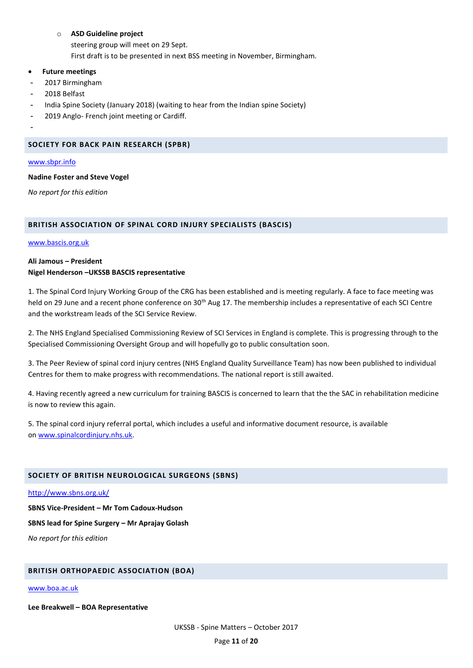## o **ASD Guideline project**

steering group will meet on 29 Sept. First draft is to be presented in next BSS meeting in November, Birmingham.

## **Future meetings**

- 2017 Birmingham
- 2018 Belfast
- India Spine Society (January 2018) (waiting to hear from the Indian spine Society)
- 2019 Anglo- French joint meeting or Cardiff.

-

## <span id="page-11-0"></span>**SOCIETY FOR BACK PAIN RESEARCH (SPBR)**

#### [www.sbpr.info](http://www.sbpr.info/)

## **Nadine Foster and Steve Vogel**

*No report for this edition*

# <span id="page-11-1"></span>**BRITISH ASSOCIATION OF SPINAL CORD INJURY SPECIALISTS (BASCIS)**

### [www.bascis.org.uk](http://www.bascis.org.uk/)

## **Ali Jamous – President Nigel Henderson –UKSSB BASCIS representative**

1. The Spinal Cord Injury Working Group of the CRG has been established and is meeting regularly. A face to face meeting was held on 29 June and a recent phone conference on 30<sup>th</sup> Aug 17. The membership includes a representative of each SCI Centre and the workstream leads of the SCI Service Review.

2. The NHS England Specialised Commissioning Review of SCI Services in England is complete. This is progressing through to the Specialised Commissioning Oversight Group and will hopefully go to public consultation soon.

3. The Peer Review of spinal cord injury centres (NHS England Quality Surveillance Team) has now been published to individual Centres for them to make progress with recommendations. The national report is still awaited.

4. Having recently agreed a new curriculum for training BASCIS is concerned to learn that the the SAC in rehabilitation medicine is now to review this again.

5. The spinal cord injury referral portal, which includes a useful and informative document resource, is available on [www.spinalcordinjury.nhs.uk.](http://www.spinalcordinjury.nhs.uk/)

# <span id="page-11-2"></span>**SOCIETY OF BRITISH NEUROLOGICAL SURGEONS (SBNS)**

<http://www.sbns.org.uk/>

**SBNS Vice-President – Mr Tom Cadoux-Hudson**

**SBNS lead for Spine Surgery – Mr Aprajay Golash**

*No report for this edition*

# <span id="page-11-3"></span>**BRITISH ORTHOPAEDIC ASSOCIATION (BOA)**

#### [www.boa.ac.uk](http://www.boa.ac.uk/)

**Lee Breakwell – BOA Representative**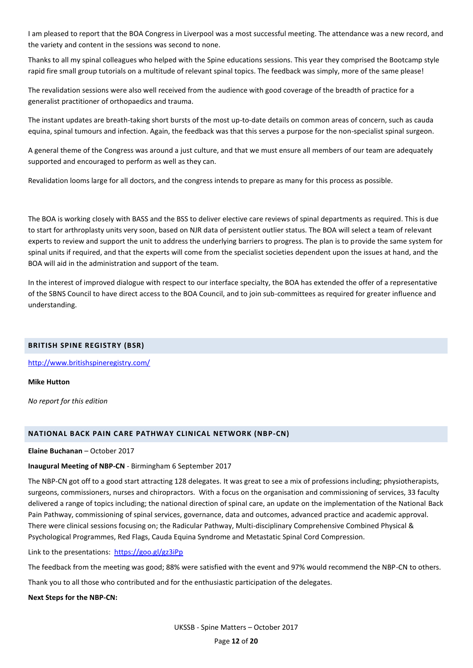I am pleased to report that the BOA Congress in Liverpool was a most successful meeting. The attendance was a new record, and the variety and content in the sessions was second to none.

Thanks to all my spinal colleagues who helped with the Spine educations sessions. This year they comprised the Bootcamp style rapid fire small group tutorials on a multitude of relevant spinal topics. The feedback was simply, more of the same please!

The revalidation sessions were also well received from the audience with good coverage of the breadth of practice for a generalist practitioner of orthopaedics and trauma.

The instant updates are breath-taking short bursts of the most up-to-date details on common areas of concern, such as cauda equina, spinal tumours and infection. Again, the feedback was that this serves a purpose for the non-specialist spinal surgeon.

A general theme of the Congress was around a just culture, and that we must ensure all members of our team are adequately supported and encouraged to perform as well as they can.

Revalidation looms large for all doctors, and the congress intends to prepare as many for this process as possible.

The BOA is working closely with BASS and the BSS to deliver elective care reviews of spinal departments as required. This is due to start for arthroplasty units very soon, based on NJR data of persistent outlier status. The BOA will select a team of relevant experts to review and support the unit to address the underlying barriers to progress. The plan is to provide the same system for spinal units if required, and that the experts will come from the specialist societies dependent upon the issues at hand, and the BOA will aid in the administration and support of the team.

In the interest of improved dialogue with respect to our interface specialty, the BOA has extended the offer of a representative of the SBNS Council to have direct access to the BOA Council, and to join sub-committees as required for greater influence and understanding.

#### <span id="page-12-0"></span>**BRITISH SPINE REGISTRY (BSR)**

<http://www.britishspineregistry.com/>

**Mike Hutton**

*No report for this edition*

#### <span id="page-12-1"></span>**NATIONAL BACK PAIN CARE PATHWAY CLINICAL NETWORK (NBP-CN)**

**Elaine Buchanan** – October 2017

#### **Inaugural Meeting of NBP-CN** - Birmingham 6 September 2017

The NBP-CN got off to a good start attracting 128 delegates. It was great to see a mix of professions including; physiotherapists, surgeons, commissioners, nurses and chiropractors. With a focus on the organisation and commissioning of services, 33 faculty delivered a range of topics including; the national direction of spinal care, an update on the implementation of the National Back Pain Pathway, commissioning of spinal services, governance, data and outcomes, advanced practice and academic approval. There were clinical sessions focusing on; the Radicular Pathway, Multi-disciplinary Comprehensive Combined Physical & Psychological Programmes, Red Flags, Cauda Equina Syndrome and Metastatic Spinal Cord Compression.

Link to the presentations: <https://goo.gl/gz3iPp>

The feedback from the meeting was good; 88% were satisfied with the event and 97% would recommend the NBP-CN to others.

Thank you to all those who contributed and for the enthusiastic participation of the delegates.

**Next Steps for the NBP-CN:**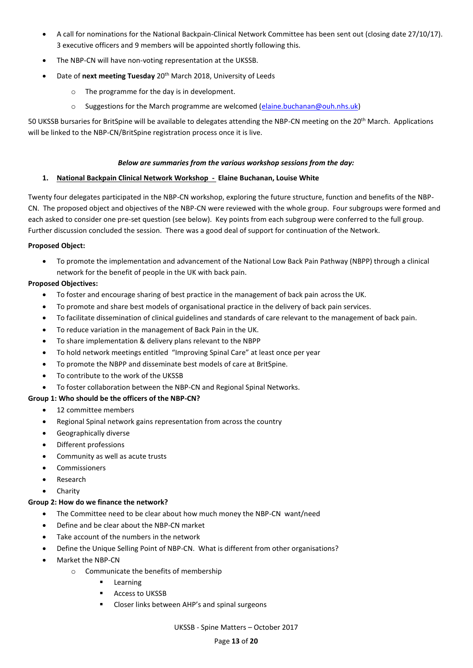- A call for nominations for the National Backpain-Clinical Network Committee has been sent out (closing date 27/10/17). 3 executive officers and 9 members will be appointed shortly following this.
- The NBP-CN will have non-voting representation at the UKSSB.
- Date of **next meeting Tuesday** 20th March 2018, University of Leeds
	- o The programme for the day is in development.
	- $\circ$  Suggestions for the March programme are welcomed [\(elaine.buchanan@ouh.nhs.uk\)](mailto:elaine.buchanan@ouh.nhs.uk)

50 UKSSB bursaries for BritSpine will be available to delegates attending the NBP-CN meeting on the 20<sup>th</sup> March. Applications will be linked to the NBP-CN/BritSpine registration process once it is live.

## *Below are summaries from the various workshop sessions from the day:*

# **1. National Backpain Clinical Network Workshop - Elaine Buchanan, Louise White**

Twenty four delegates participated in the NBP-CN workshop, exploring the future structure, function and benefits of the NBP-CN. The proposed object and objectives of the NBP-CN were reviewed with the whole group. Four subgroups were formed and each asked to consider one pre-set question (see below). Key points from each subgroup were conferred to the full group. Further discussion concluded the session. There was a good deal of support for continuation of the Network.

## **Proposed Object:**

 To promote the implementation and advancement of the National Low Back Pain Pathway (NBPP) through a clinical network for the benefit of people in the UK with back pain.

## **Proposed Objectives:**

- To foster and encourage sharing of best practice in the management of back pain across the UK.
- To promote and share best models of organisational practice in the delivery of back pain services.
- To facilitate dissemination of clinical guidelines and standards of care relevant to the management of back pain.
- To reduce variation in the management of Back Pain in the UK.
- To share implementation & delivery plans relevant to the NBPP
- To hold network meetings entitled "Improving Spinal Care" at least once per year
- To promote the NBPP and disseminate best models of care at BritSpine.
- To contribute to the work of the UKSSB
- To foster collaboration between the NBP-CN and Regional Spinal Networks.

# **Group 1: Who should be the officers of the NBP-CN?**

- 12 committee members
- Regional Spinal network gains representation from across the country
- Geographically diverse
- Different professions
- Community as well as acute trusts
- Commissioners
- Research
- Charity

# **Group 2: How do we finance the network?**

- The Committee need to be clear about how much money the NBP-CN want/need
- Define and be clear about the NBP-CN market
- Take account of the numbers in the network
- Define the Unique Selling Point of NBP-CN. What is different from other organisations?
- Market the NBP-CN
	- o Communicate the benefits of membership
		- **Learning**
		- Access to UKSSB
		- Closer links between AHP's and spinal surgeons

UKSSB - Spine Matters – October 2017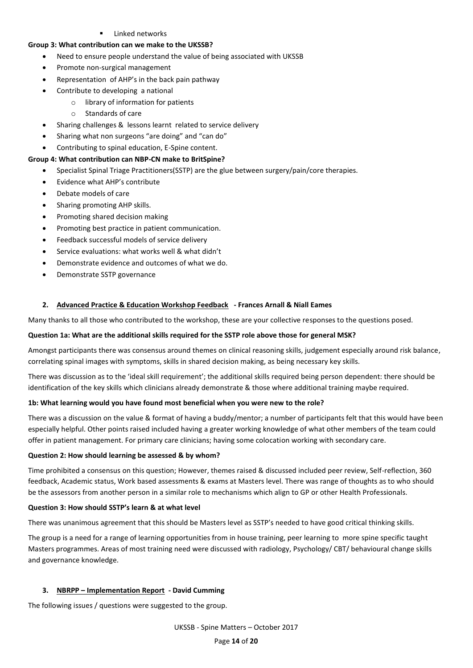Linked networks

## **Group 3: What contribution can we make to the UKSSB?**

- Need to ensure people understand the value of being associated with UKSSB
- Promote non-surgical management
- Representation of AHP's in the back pain pathway
- Contribute to developing a national
	- o library of information for patients
	- o Standards of care
- Sharing challenges & lessons learnt related to service delivery
- Sharing what non surgeons "are doing" and "can do"
- Contributing to spinal education, E-Spine content.

## **Group 4: What contribution can NBP-CN make to BritSpine?**

- Specialist Spinal Triage Practitioners(SSTP) are the glue between surgery/pain/core therapies.
- Evidence what AHP's contribute
- Debate models of care
- Sharing promoting AHP skills.
- Promoting shared decision making
- Promoting best practice in patient communication.
- Feedback successful models of service delivery
- Service evaluations: what works well & what didn't
- Demonstrate evidence and outcomes of what we do.
- Demonstrate SSTP governance

## **2. Advanced Practice & Education Workshop Feedback - Frances Arnall & Niall Eames**

Many thanks to all those who contributed to the workshop, these are your collective responses to the questions posed.

#### **Question 1a: What are the additional skills required for the SSTP role above those for general MSK?**

Amongst participants there was consensus around themes on clinical reasoning skills, judgement especially around risk balance, correlating spinal images with symptoms, skills in shared decision making, as being necessary key skills.

There was discussion as to the 'ideal skill requirement'; the additional skills required being person dependent: there should be identification of the key skills which clinicians already demonstrate & those where additional training maybe required.

#### **1b: What learning would you have found most beneficial when you were new to the role?**

There was a discussion on the value & format of having a buddy/mentor; a number of participants felt that this would have been especially helpful. Other points raised included having a greater working knowledge of what other members of the team could offer in patient management. For primary care clinicians; having some colocation working with secondary care.

#### **Question 2: How should learning be assessed & by whom?**

Time prohibited a consensus on this question; However, themes raised & discussed included peer review, Self-reflection, 360 feedback, Academic status, Work based assessments & exams at Masters level. There was range of thoughts as to who should be the assessors from another person in a similar role to mechanisms which align to GP or other Health Professionals.

### **Question 3: How should SSTP's learn & at what level**

There was unanimous agreement that this should be Masters level as SSTP's needed to have good critical thinking skills.

The group is a need for a range of learning opportunities from in house training, peer learning to more spine specific taught Masters programmes. Areas of most training need were discussed with radiology, Psychology/ CBT/ behavioural change skills and governance knowledge.

#### **3. NBRPP – Implementation Report - David Cumming**

The following issues / questions were suggested to the group.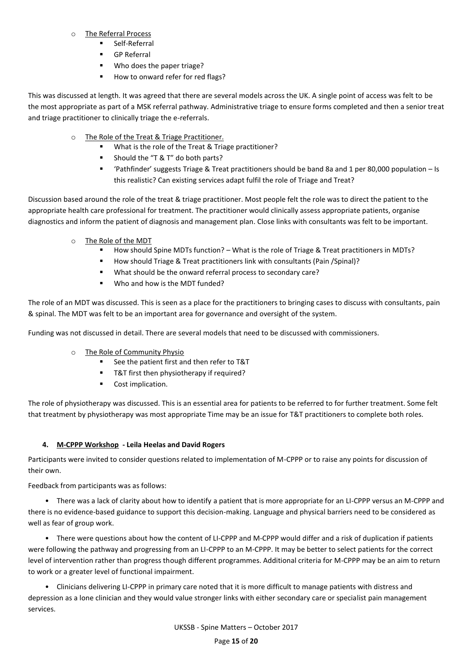# o The Referral Process

- Self-Referral
- **GP Referral**
- Who does the paper triage?
- How to onward refer for red flags?

This was discussed at length. It was agreed that there are several models across the UK. A single point of access was felt to be the most appropriate as part of a MSK referral pathway. Administrative triage to ensure forms completed and then a senior treat and triage practitioner to clinically triage the e-referrals.

- o The Role of the Treat & Triage Practitioner.
	- What is the role of the Treat & Triage practitioner?
	- Should the "T & T" do both parts?
	- 'Pathfinder' suggests Triage & Treat practitioners should be band 8a and 1 per 80,000 population Is this realistic? Can existing services adapt fulfil the role of Triage and Treat?

Discussion based around the role of the treat & triage practitioner. Most people felt the role was to direct the patient to the appropriate health care professional for treatment. The practitioner would clinically assess appropriate patients, organise diagnostics and inform the patient of diagnosis and management plan. Close links with consultants was felt to be important.

- o The Role of the MDT
	- How should Spine MDTs function? What is the role of Triage & Treat practitioners in MDTs?
	- How should Triage & Treat practitioners link with consultants (Pain /Spinal)?
	- What should be the onward referral process to secondary care?
	- Who and how is the MDT funded?

The role of an MDT was discussed. This is seen as a place for the practitioners to bringing cases to discuss with consultants, pain & spinal. The MDT was felt to be an important area for governance and oversight of the system.

Funding was not discussed in detail. There are several models that need to be discussed with commissioners.

- o The Role of Community Physio
	- See the patient first and then refer to T&T
	- **T&T** first then physiotherapy if required?
	- Cost implication.

The role of physiotherapy was discussed. This is an essential area for patients to be referred to for further treatment. Some felt that treatment by physiotherapy was most appropriate Time may be an issue for T&T practitioners to complete both roles.

# **4. M-CPPP Workshop - Leila Heelas and David Rogers**

Participants were invited to consider questions related to implementation of M-CPPP or to raise any points for discussion of their own.

Feedback from participants was as follows:

• There was a lack of clarity about how to identify a patient that is more appropriate for an LI-CPPP versus an M-CPPP and there is no evidence-based guidance to support this decision-making. Language and physical barriers need to be considered as well as fear of group work.

• There were questions about how the content of LI-CPPP and M-CPPP would differ and a risk of duplication if patients were following the pathway and progressing from an LI-CPPP to an M-CPPP. It may be better to select patients for the correct level of intervention rather than progress though different programmes. Additional criteria for M-CPPP may be an aim to return to work or a greater level of functional impairment.

• Clinicians delivering LI-CPPP in primary care noted that it is more difficult to manage patients with distress and depression as a lone clinician and they would value stronger links with either secondary care or specialist pain management services.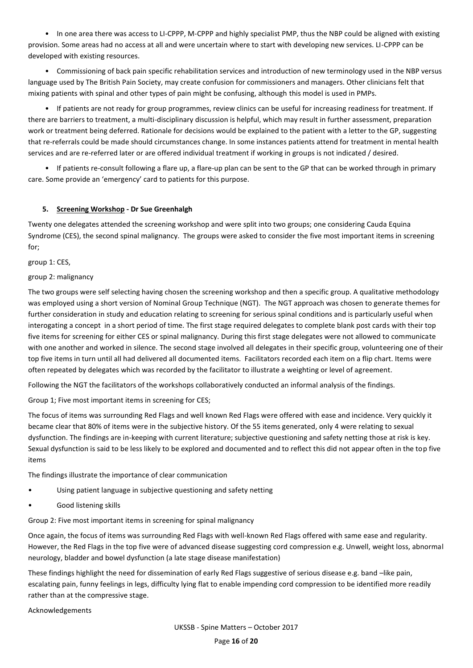• In one area there was access to LI-CPPP, M-CPPP and highly specialist PMP, thus the NBP could be aligned with existing provision. Some areas had no access at all and were uncertain where to start with developing new services. LI-CPPP can be developed with existing resources.

• Commissioning of back pain specific rehabilitation services and introduction of new terminology used in the NBP versus language used by The British Pain Society, may create confusion for commissioners and managers. Other clinicians felt that mixing patients with spinal and other types of pain might be confusing, although this model is used in PMPs.

• If patients are not ready for group programmes, review clinics can be useful for increasing readiness for treatment. If there are barriers to treatment, a multi-disciplinary discussion is helpful, which may result in further assessment, preparation work or treatment being deferred. Rationale for decisions would be explained to the patient with a letter to the GP, suggesting that re-referrals could be made should circumstances change. In some instances patients attend for treatment in mental health services and are re-referred later or are offered individual treatment if working in groups is not indicated / desired.

• If patients re-consult following a flare up, a flare-up plan can be sent to the GP that can be worked through in primary care. Some provide an 'emergency' card to patients for this purpose.

## **5. Screening Workshop - Dr Sue Greenhalgh**

Twenty one delegates attended the screening workshop and were split into two groups; one considering Cauda Equina Syndrome (CES), the second spinal malignancy. The groups were asked to consider the five most important items in screening for;

group 1: CES,

#### group 2: malignancy

The two groups were self selecting having chosen the screening workshop and then a specific group. A qualitative methodology was employed using a short version of Nominal Group Technique (NGT). The NGT approach was chosen to generate themes for further consideration in study and education relating to screening for serious spinal conditions and is particularly useful when interogating a concept in a short period of time. The first stage required delegates to complete blank post cards with their top five items for screening for either CES or spinal malignancy. During this first stage delegates were not allowed to communicate with one another and worked in silence. The second stage involved all delegates in their specific group, volunteering one of their top five items in turn until all had delivered all documented items. Facilitators recorded each item on a flip chart. Items were often repeated by delegates which was recorded by the facilitator to illustrate a weighting or level of agreement.

Following the NGT the facilitators of the workshops collaboratively conducted an informal analysis of the findings.

Group 1; Five most important items in screening for CES;

The focus of items was surrounding Red Flags and well known Red Flags were offered with ease and incidence. Very quickly it became clear that 80% of items were in the subjective history. Of the 55 items generated, only 4 were relating to sexual dysfunction. The findings are in-keeping with current literature; subjective questioning and safety netting those at risk is key. Sexual dysfunction is said to be less likely to be explored and documented and to reflect this did not appear often in the top five items

The findings illustrate the importance of clear communication

- Using patient language in subjective questioning and safety netting
- Good listening skills

Group 2: Five most important items in screening for spinal malignancy

Once again, the focus of items was surrounding Red Flags with well-known Red Flags offered with same ease and regularity. However, the Red Flags in the top five were of advanced disease suggesting cord compression e.g. Unwell, weight loss, abnormal neurology, bladder and bowel dysfunction (a late stage disease manifestation)

These findings highlight the need for dissemination of early Red Flags suggestive of serious disease e.g. band –like pain, escalating pain, funny feelings in legs, difficulty lying flat to enable impending cord compression to be identified more readily rather than at the compressive stage.

Acknowledgements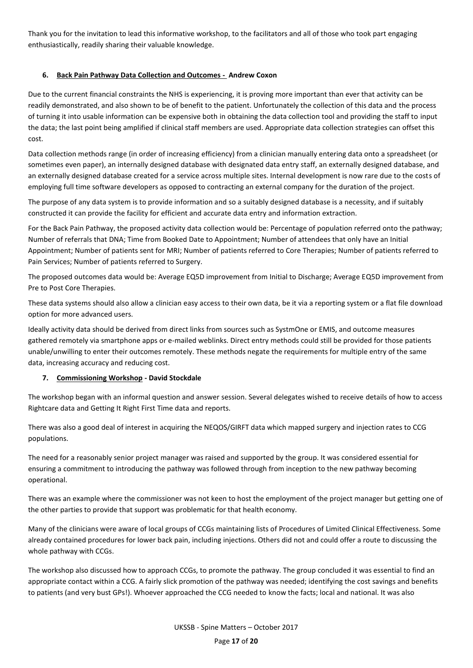Thank you for the invitation to lead this informative workshop, to the facilitators and all of those who took part engaging enthusiastically, readily sharing their valuable knowledge.

# **6. Back Pain Pathway Data Collection and Outcomes - Andrew Coxon**

Due to the current financial constraints the NHS is experiencing, it is proving more important than ever that activity can be readily demonstrated, and also shown to be of benefit to the patient. Unfortunately the collection of this data and the process of turning it into usable information can be expensive both in obtaining the data collection tool and providing the staff to input the data; the last point being amplified if clinical staff members are used. Appropriate data collection strategies can offset this cost.

Data collection methods range (in order of increasing efficiency) from a clinician manually entering data onto a spreadsheet (or sometimes even paper), an internally designed database with designated data entry staff, an externally designed database, and an externally designed database created for a service across multiple sites. Internal development is now rare due to the costs of employing full time software developers as opposed to contracting an external company for the duration of the project.

The purpose of any data system is to provide information and so a suitably designed database is a necessity, and if suitably constructed it can provide the facility for efficient and accurate data entry and information extraction.

For the Back Pain Pathway, the proposed activity data collection would be: Percentage of population referred onto the pathway; Number of referrals that DNA; Time from Booked Date to Appointment; Number of attendees that only have an Initial Appointment; Number of patients sent for MRI; Number of patients referred to Core Therapies; Number of patients referred to Pain Services; Number of patients referred to Surgery.

The proposed outcomes data would be: Average EQ5D improvement from Initial to Discharge; Average EQ5D improvement from Pre to Post Core Therapies.

These data systems should also allow a clinician easy access to their own data, be it via a reporting system or a flat file download option for more advanced users.

Ideally activity data should be derived from direct links from sources such as SystmOne or EMIS, and outcome measures gathered remotely via smartphone apps or e-mailed weblinks. Direct entry methods could still be provided for those patients unable/unwilling to enter their outcomes remotely. These methods negate the requirements for multiple entry of the same data, increasing accuracy and reducing cost.

# **7. Commissioning Workshop - David Stockdale**

The workshop began with an informal question and answer session. Several delegates wished to receive details of how to access Rightcare data and Getting It Right First Time data and reports.

There was also a good deal of interest in acquiring the NEQOS/GIRFT data which mapped surgery and injection rates to CCG populations.

The need for a reasonably senior project manager was raised and supported by the group. It was considered essential for ensuring a commitment to introducing the pathway was followed through from inception to the new pathway becoming operational.

There was an example where the commissioner was not keen to host the employment of the project manager but getting one of the other parties to provide that support was problematic for that health economy.

Many of the clinicians were aware of local groups of CCGs maintaining lists of Procedures of Limited Clinical Effectiveness. Some already contained procedures for lower back pain, including injections. Others did not and could offer a route to discussing the whole pathway with CCGs.

The workshop also discussed how to approach CCGs, to promote the pathway. The group concluded it was essential to find an appropriate contact within a CCG. A fairly slick promotion of the pathway was needed; identifying the cost savings and benefits to patients (and very bust GPs!). Whoever approached the CCG needed to know the facts; local and national. It was also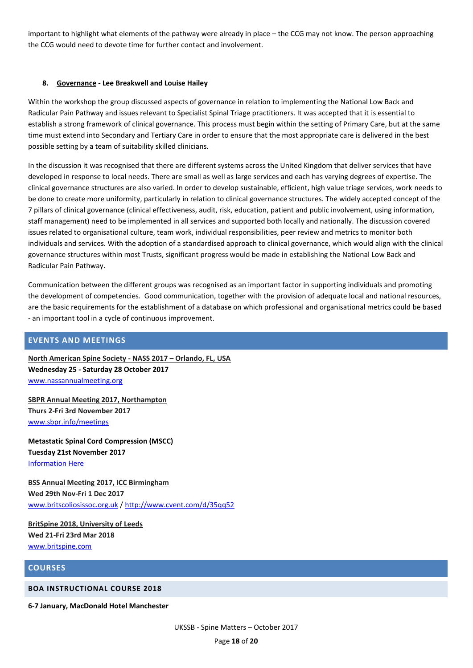important to highlight what elements of the pathway were already in place – the CCG may not know. The person approaching the CCG would need to devote time for further contact and involvement.

## **8. Governance - Lee Breakwell and Louise Hailey**

Within the workshop the group discussed aspects of governance in relation to implementing the National Low Back and Radicular Pain Pathway and issues relevant to Specialist Spinal Triage practitioners. It was accepted that it is essential to establish a strong framework of clinical governance. This process must begin within the setting of Primary Care, but at the same time must extend into Secondary and Tertiary Care in order to ensure that the most appropriate care is delivered in the best possible setting by a team of suitability skilled clinicians.

In the discussion it was recognised that there are different systems across the United Kingdom that deliver services that have developed in response to local needs. There are small as well as large services and each has varying degrees of expertise. The clinical governance structures are also varied. In order to develop sustainable, efficient, high value triage services, work needs to be done to create more uniformity, particularly in relation to clinical governance structures. The widely accepted concept of the 7 pillars of clinical governance (clinical effectiveness, audit, risk, education, patient and public involvement, using information, staff management) need to be implemented in all services and supported both locally and nationally. The discussion covered issues related to organisational culture, team work, individual responsibilities, peer review and metrics to monitor both individuals and services. With the adoption of a standardised approach to clinical governance, which would align with the clinical governance structures within most Trusts, significant progress would be made in establishing the National Low Back and Radicular Pain Pathway.

Communication between the different groups was recognised as an important factor in supporting individuals and promoting the development of competencies. Good communication, together with the provision of adequate local and national resources, are the basic requirements for the establishment of a database on which professional and organisational metrics could be based - an important tool in a cycle of continuous improvement.

# <span id="page-18-0"></span>**EVENTS AND MEETINGS**

**North American Spine Society - NASS 2017 – Orlando, FL, USA Wednesday 25 - Saturday 28 October 2017** [www.nassannualmeeting.org](http://www.nassannualmeeting.org/)

**SBPR Annual Meeting 2017, Northampton Thurs 2-Fri 3rd November 2017** [www.sbpr.info/meetings](http://www.sbpr.info/meetings)

**Metastatic Spinal Cord Compression (MSCC) Tuesday 21st November 2017** [Information Here](http://ukssb.us14.list-manage2.com/track/click?u=de6171e0ef375ef2e0bc53902&id=f554fa8893&e=c2d59df28e)

**BSS Annual Meeting 2017, ICC Birmingham Wed 29th Nov-Fri 1 Dec 2017** [www.britscoliosissoc.org.uk](http://www.britscoliosissoc.org.uk/) /<http://www.cvent.com/d/35qq52>

**BritSpine 2018, University of Leeds Wed 21-Fri 23rd Mar 2018** [www.britspine.com](http://www.britspine.com/)

# <span id="page-18-1"></span>**COURSES**

#### <span id="page-18-2"></span>**BOA INSTRUCTIONAL COURSE 2018**

**6-7 January, MacDonald Hotel Manchester**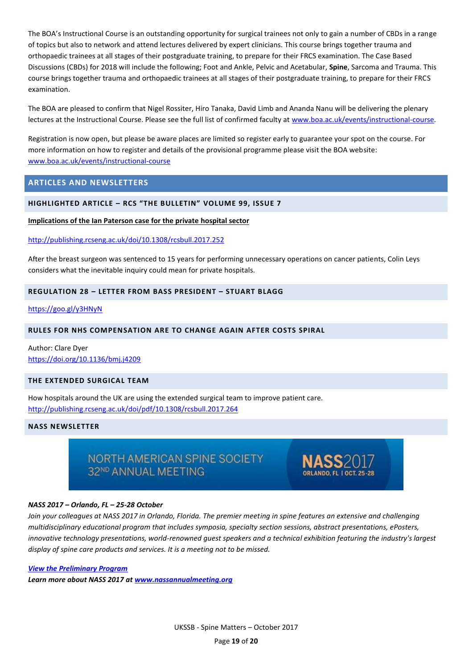The BOA's Instructional Course is an outstanding opportunity for surgical trainees not only to gain a number of CBDs in a range of topics but also to network and attend lectures delivered by expert clinicians. This course brings together trauma and orthopaedic trainees at all stages of their postgraduate training, to prepare for their FRCS examination. The Case Based Discussions (CBDs) for 2018 will include the following; Foot and Ankle, Pelvic and Acetabular, **Spine**, Sarcoma and Trauma. This course brings together trauma and orthopaedic trainees at all stages of their postgraduate training, to prepare for their FRCS examination.

The BOA are pleased to confirm that Nigel Rossiter, Hiro Tanaka, David Limb and Ananda Nanu will be delivering the plenary lectures at the Instructional Course. Please see the full list of confirmed faculty at [www.boa.ac.uk/events/instructional-course.](http://www.boa.ac.uk/events/instructional-course)

Registration is now open, but please be aware places are limited so register early to guarantee your spot on the course. For more information on how to register and details of the provisional programme please visit the BOA website: [www.boa.ac.uk/events/instructional-course](http://www.boa.ac.uk/events/instructional-course)

# <span id="page-19-0"></span>**ARTICLES AND NEWSLETTERS**

#### <span id="page-19-1"></span>**HIGHLIGHTED ARTICLE – RCS "THE BULLETIN" VOLUME 99, ISSUE 7**

#### **Implications of the Ian Paterson case for the private hospital sector**

<http://publishing.rcseng.ac.uk/doi/10.1308/rcsbull.2017.252>

After the breast surgeon was sentenced to 15 years for performing unnecessary operations on cancer patients, Colin Leys considers what the inevitable inquiry could mean for private hospitals.

## <span id="page-19-2"></span>**REGULATION 28 – LETTER FROM BASS PRESIDENT – STUART BLAGG**

<https://goo.gl/y3HNyN>

#### <span id="page-19-3"></span>**RULES FOR NHS COMPENSATION ARE TO CHANGE AGAIN AFTER COSTS SPIRAL**

Author: Clare Dyer <https://doi.org/10.1136/bmj.j4209>

## <span id="page-19-4"></span>**THE EXTENDED SURGICAL TEAM**

How hospitals around the UK are using the extended surgical team to improve patient care. <http://publishing.rcseng.ac.uk/doi/pdf/10.1308/rcsbull.2017.264>

## <span id="page-19-5"></span>**NASS NEWSLETTER**

NORTH AMERICAN SPINE SOCIETY 32ND ANNUAL MEETING



#### *NASS 2017 – Orlando, FL – 25-28 October*

*Join your colleagues at NASS 2017 in Orlando, Florida. The premier meeting in spine features an extensive and challenging multidisciplinary educational program that includes symposia, specialty section sessions, abstract presentations, ePosters, innovative technology presentations, world-renowned guest speakers and a technical exhibition featuring the industry's largest display of spine care products and services. It is a meeting not to be missed.*

*[View the Preliminary Program](http://r20.rs6.net/tn.jsp?f=001rGZWvTaSLSUHZ8DEivwVlDeKVjihsQE4hfuYDJqa4bAV2ioQgswm43klNq-8LJwfxxsA0Tbbb_6FvRAVLPsQ6V49HB8VAF6EYAb0Zly0JZGeMLVa_TP0Mo3cyFei6poj0SOd2DKdlr09jXT8ISolUsbYZY3Ee4_hDz0LqHtSH9MIFabvh7Y-fmKKc_sdo_RxCA-fI9o91ykINGn_KJZeTwfDBPSnfgP8wyPCxME9rHE=&c=dBVqL_NjewT5YtyKDviUlsvzI8xbbw1Plb7kMH1uOaI8nEdCiLtzxw==&ch=8V-w0VNhl1tVKc5H9yGkvTBVVMFkR5lsMCha4Um30RALp77b_NDOsg==)*

*Learn more about NASS 2017 at [www.nassannualmeeting.org](http://r20.rs6.net/tn.jsp?f=001rGZWvTaSLSUHZ8DEivwVlDeKVjihsQE4hfuYDJqa4bAV2ioQgswm4-WZXPYN7N3vBJGVoK1n9tFD5OgRQNMUqkGXnA9rXi9dNeVCd_13irx9271HM85Qx5XCwK3xsxGU7bIOXtuCTPY14PIlCseo70rpl6-utZ-QdZpD_92YcbRSewSVbtEbqA==&c=dBVqL_NjewT5YtyKDviUlsvzI8xbbw1Plb7kMH1uOaI8nEdCiLtzxw==&ch=8V-w0VNhl1tVKc5H9yGkvTBVVMFkR5lsMCha4Um30RALp77b_NDOsg==)*